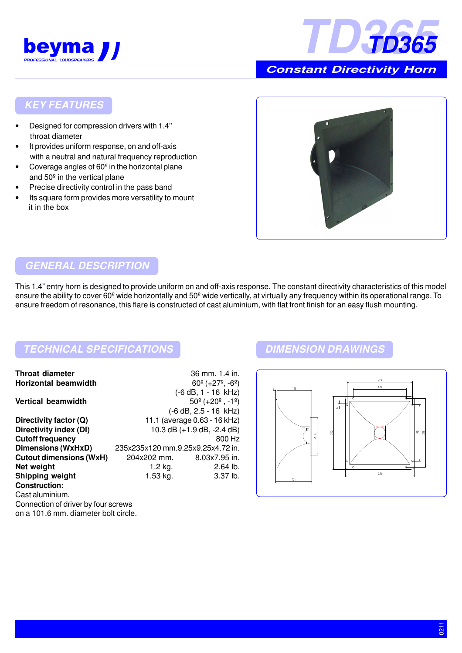



 **Constant Directivity Horn**

### **KEY FEATURES**

- Designed for compression drivers with 1.4'' throat diameter
- It provides uniform response, on and off-axis with a neutral and natural frequency reproduction
- Coverage angles of  $60<sup>°</sup>$  in the horizontal plane and 50º in the vertical plane
- Precise directivity control in the pass band
- Its square form provides more versatility to mount it in the box



#### **GENERAL DESCRIPTION**

This 1.4" entry horn is designed to provide uniform on and off-axis response. The constant directivity characteristics of this model ensure the ability to cover 60<sup>°</sup> wide horizontally and 50<sup>°</sup> wide vertically, at virtually any frequency within its operational range. To ensure freedom of resonance, this flare is constructed of cast aluminium, with flat front finish for an easy flush mounting.

## **TECHNICAL SPECIFICATIONS DIMENSION DRAWINGS**

| <b>Throat diameter</b>              |                                   | 36 mm. 1.4 in.                                     |
|-------------------------------------|-----------------------------------|----------------------------------------------------|
| <b>Horizontal beamwidth</b>         |                                   | $60^{\circ}$ (+27 <sup>°</sup> , -6 <sup>°</sup> ) |
|                                     |                                   | (-6 dB, 1 - 16 kHz)                                |
| <b>Vertical beamwidth</b>           |                                   | $50^{\circ}$ (+20 $^{\circ}$ , -1 $^{\circ}$ )     |
|                                     |                                   | $(-6 dB, 2.5 - 16 kHz)$                            |
| Directivity factor (Q)              | 11.1 (average 0.63 - 16 kHz)      |                                                    |
| Directivity index (DI)              | 10.3 dB $(+1.9$ dB, $-2.4$ dB)    |                                                    |
| <b>Cutoff frequency</b>             |                                   | 800 Hz                                             |
| Dimensions (WxHxD)                  | 235x235x120 mm.9.25x9.25x4.72 in. |                                                    |
| <b>Cutout dimensions (WxH)</b>      | 204x202 mm.                       | 8.03x7.95 in.                                      |
| Net weight                          | 1.2 $kg.$                         | $2.64$ lb.                                         |
| <b>Shipping weight</b>              | 1.53 kg.                          | 3.37 lb.                                           |
| <b>Construction:</b>                |                                   |                                                    |
| Cast aluminium.                     |                                   |                                                    |
| Connection of driver by four screws |                                   |                                                    |
| an a 101 6 mm diamator halt girale  |                                   |                                                    |

#### on a 101.6 mm. diameter bolt circle.